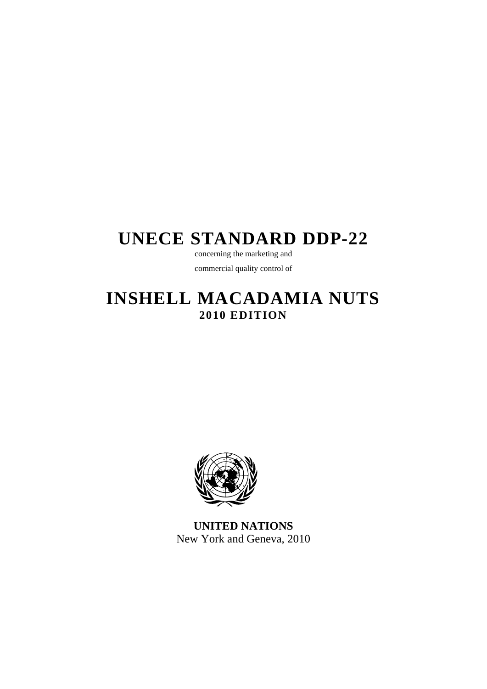# **UNECE STANDARD DDP-22**

concerning the marketing and commercial quality control of

# **INSHELL MACADAMIA NUTS 2010 EDITION**



**UNITED NATIONS**  New York and Geneva, 2010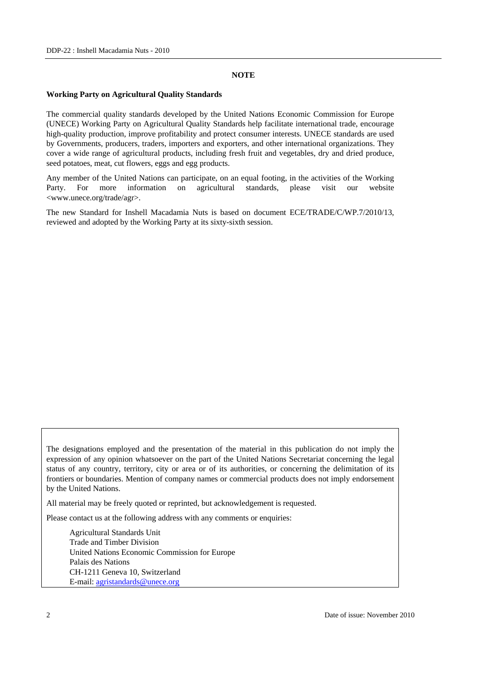#### **NOTE**

#### **Working Party on Agricultural Quality Standards**

The commercial quality standards developed by the United Nations Economic Commission for Europe (UNECE) Working Party on Agricultural Quality Standards help facilitate international trade, encourage high-quality production, improve profitability and protect consumer interests. UNECE standards are used by Governments, producers, traders, importers and exporters, and other international organizations. They cover a wide range of agricultural products, including fresh fruit and vegetables, dry and dried produce, seed potatoes, meat, cut flowers, eggs and egg products.

Any member of the United Nations can participate, on an equal footing, in the activities of the Working Party. For more information on agricultural standards, please visit our website <www.unece.org/trade/agr>.

The new Standard for Inshell Macadamia Nuts is based on document ECE/TRADE/C/WP.7/2010/13, reviewed and adopted by the Working Party at its sixty-sixth session.

The designations employed and the presentation of the material in this publication do not imply the expression of any opinion whatsoever on the part of the United Nations Secretariat concerning the legal status of any country, territory, city or area or of its authorities, or concerning the delimitation of its frontiers or boundaries. Mention of company names or commercial products does not imply endorsement by the United Nations.

All material may be freely quoted or reprinted, but acknowledgement is requested.

Please contact us at the following address with any comments or enquiries:

 Agricultural Standards Unit Trade and Timber Division United Nations Economic Commission for Europe Palais des Nations CH-1211 Geneva 10, Switzerland E-mail: agristandards@unece.org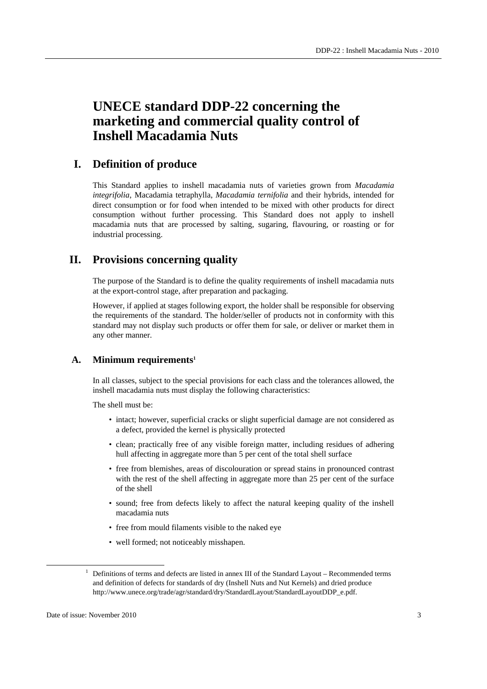# **UNECE standard DDP-22 concerning the marketing and commercial quality control of Inshell Macadamia Nuts**

### **I. Definition of produce**

This Standard applies to inshell macadamia nuts of varieties grown from *Macadamia integrifolia*, Macadamia tetraphylla, *Macadamia ternifolia* and their hybrids, intended for direct consumption or for food when intended to be mixed with other products for direct consumption without further processing. This Standard does not apply to inshell macadamia nuts that are processed by salting, sugaring, flavouring, or roasting or for industrial processing.

### **II. Provisions concerning quality**

The purpose of the Standard is to define the quality requirements of inshell macadamia nuts at the export-control stage, after preparation and packaging.

However, if applied at stages following export, the holder shall be responsible for observing the requirements of the standard. The holder/seller of products not in conformity with this standard may not display such products or offer them for sale, or deliver or market them in any other manner.

### **A. Minimum requirements1**

In all classes, subject to the special provisions for each class and the tolerances allowed, the inshell macadamia nuts must display the following characteristics:

The shell must be:

- intact; however, superficial cracks or slight superficial damage are not considered as a defect, provided the kernel is physically protected
- clean; practically free of any visible foreign matter, including residues of adhering hull affecting in aggregate more than 5 per cent of the total shell surface
- free from blemishes, areas of discolouration or spread stains in pronounced contrast with the rest of the shell affecting in aggregate more than 25 per cent of the surface of the shell
- sound; free from defects likely to affect the natural keeping quality of the inshell macadamia nuts
- free from mould filaments visible to the naked eye
- well formed; not noticeably misshapen.

 $1$  Definitions of terms and defects are listed in annex III of the Standard Layout – Recommended terms and definition of defects for standards of dry (Inshell Nuts and Nut Kernels) and dried produce http://www.unece.org/trade/agr/standard/dry/StandardLayout/StandardLayoutDDP\_e.pdf.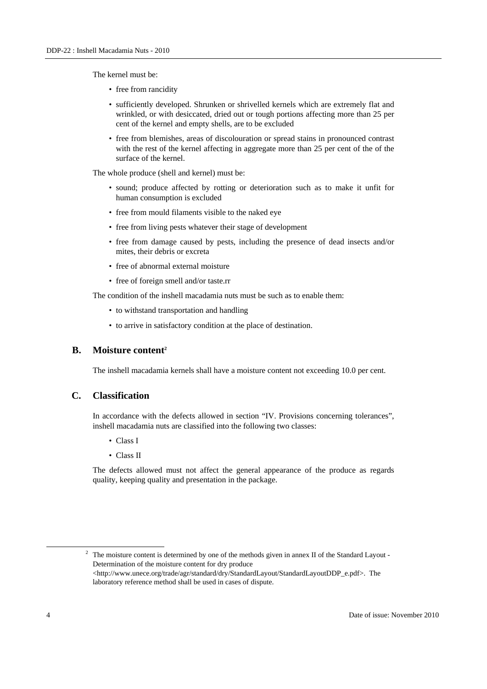The kernel must be:

- free from rancidity
- sufficiently developed. Shrunken or shrivelled kernels which are extremely flat and wrinkled, or with desiccated, dried out or tough portions affecting more than 25 per cent of the kernel and empty shells, are to be excluded
- free from blemishes, areas of discolouration or spread stains in pronounced contrast with the rest of the kernel affecting in aggregate more than 25 per cent of the of the surface of the kernel.

The whole produce (shell and kernel) must be:

- sound; produce affected by rotting or deterioration such as to make it unfit for human consumption is excluded
- free from mould filaments visible to the naked eye
- free from living pests whatever their stage of development
- free from damage caused by pests, including the presence of dead insects and/or mites, their debris or excreta
- free of abnormal external moisture
- free of foreign smell and/or taste.rr

The condition of the inshell macadamia nuts must be such as to enable them:

- to withstand transportation and handling
- to arrive in satisfactory condition at the place of destination.

### **B.** Moisture content<sup>2</sup>

The inshell macadamia kernels shall have a moisture content not exceeding 10.0 per cent.

### **C. Classification**

In accordance with the defects allowed in section "IV. Provisions concerning tolerances", inshell macadamia nuts are classified into the following two classes:

- Class I
- Class II

The defects allowed must not affect the general appearance of the produce as regards quality, keeping quality and presentation in the package.

 2  $2\degree$  The moisture content is determined by one of the methods given in annex II of the Standard Layout -Determination of the moisture content for dry produce <http://www.unece.org/trade/agr/standard/dry/StandardLayout/StandardLayoutDDP\_e.pdf>. The laboratory reference method shall be used in cases of dispute.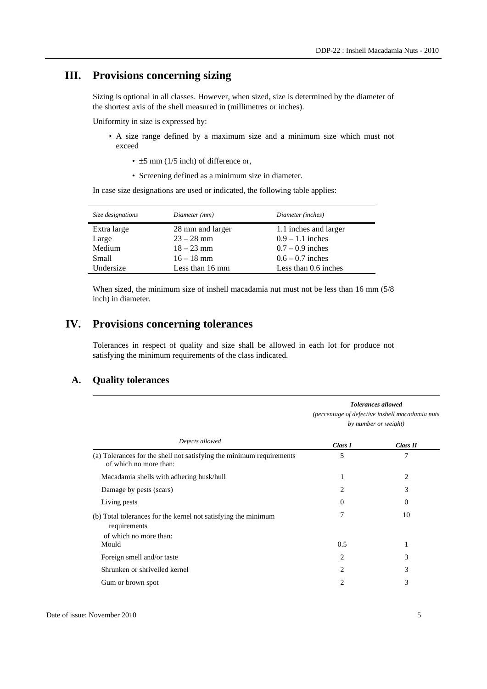# **III. Provisions concerning sizing**

Sizing is optional in all classes. However, when sized, size is determined by the diameter of the shortest axis of the shell measured in (millimetres or inches).

Uniformity in size is expressed by:

- A size range defined by a maximum size and a minimum size which must not exceed
	- $\pm$ 5 mm (1/5 inch) of difference or,
	- Screening defined as a minimum size in diameter.

In case size designations are used or indicated, the following table applies:

| Size designations | Diameter (mm)    | Diameter (inches)     |
|-------------------|------------------|-----------------------|
| Extra large       | 28 mm and larger | 1.1 inches and larger |
| Large             | $23 - 28$ mm     | $0.9 - 1.1$ inches    |
| Medium            | $18 - 23$ mm     | $0.7 - 0.9$ inches    |
| Small             | $16 - 18$ mm     | $0.6 - 0.7$ inches    |
| Undersize         | Less than 16 mm  | Less than 0.6 inches  |

When sized, the minimum size of inshell macadamia nut must not be less than 16 mm (5/8 inch) in diameter.

## **IV. Provisions concerning tolerances**

Tolerances in respect of quality and size shall be allowed in each lot for produce not satisfying the minimum requirements of the class indicated.

### **A. Quality tolerances**

|                                                                                                          | <b>Tolerances allowed</b><br>(percentage of defective inshell macadamia nuts<br>by number or weight) |          |
|----------------------------------------------------------------------------------------------------------|------------------------------------------------------------------------------------------------------|----------|
| Defects allowed                                                                                          | Class I                                                                                              | Class II |
| (a) Tolerances for the shell not satisfying the minimum requirements<br>of which no more than:           | 5                                                                                                    | 7        |
| Macadamia shells with adhering husk/hull                                                                 | 1                                                                                                    | 2        |
| Damage by pests (scars)                                                                                  | 2                                                                                                    | 3        |
| Living pests                                                                                             | $\theta$                                                                                             | 0        |
| (b) Total tolerances for the kernel not satisfying the minimum<br>requirements<br>of which no more than: | 7                                                                                                    | 10       |
| Mould                                                                                                    | 0.5                                                                                                  | 1        |
| Foreign smell and/or taste                                                                               | 2                                                                                                    | 3        |
| Shrunken or shrivelled kernel                                                                            | 2                                                                                                    | 3        |
| Gum or brown spot                                                                                        | 2                                                                                                    | 3        |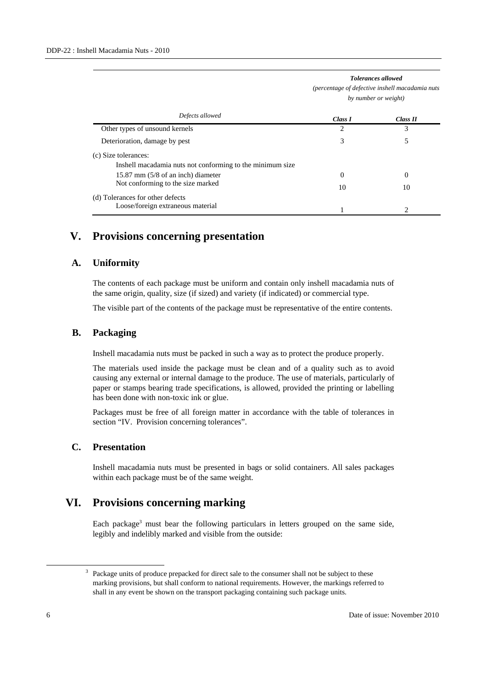|                                                           |         | percentage of acjective institutional material<br>by number or weight) |  |
|-----------------------------------------------------------|---------|------------------------------------------------------------------------|--|
| Defects allowed                                           | Class I | Class II                                                               |  |
| Other types of unsound kernels                            | 2       | 3                                                                      |  |
| Deterioration, damage by pest                             | 3       | 5                                                                      |  |
| (c) Size tolerances:                                      |         |                                                                        |  |
| Inshell macadamia nuts not conforming to the minimum size |         |                                                                        |  |
| 15.87 mm $(5/8 \text{ of an inch})$ diameter              | 0       | $\Omega$                                                               |  |
| Not conforming to the size marked                         | 10      | 10                                                                     |  |
| (d) Tolerances for other defects                          |         |                                                                        |  |
| Loose/foreign extraneous material                         |         |                                                                        |  |

# *Tolerances allowed (percentage of defective inshell macadamia nuts*

# **V. Provisions concerning presentation**

### **A. Uniformity**

The contents of each package must be uniform and contain only inshell macadamia nuts of the same origin, quality, size (if sized) and variety (if indicated) or commercial type.

The visible part of the contents of the package must be representative of the entire contents.

### **B. Packaging**

Inshell macadamia nuts must be packed in such a way as to protect the produce properly.

The materials used inside the package must be clean and of a quality such as to avoid causing any external or internal damage to the produce. The use of materials, particularly of paper or stamps bearing trade specifications, is allowed, provided the printing or labelling has been done with non-toxic ink or glue.

Packages must be free of all foreign matter in accordance with the table of tolerances in section "IV. Provision concerning tolerances".

### **C. Presentation**

Inshell macadamia nuts must be presented in bags or solid containers. All sales packages within each package must be of the same weight.

## **VI. Provisions concerning marking**

Each package<sup>3</sup> must bear the following particulars in letters grouped on the same side, legibly and indelibly marked and visible from the outside:

<sup>&</sup>lt;sup>3</sup> Package units of produce prepacked for direct sale to the consumer shall not be subject to these marking provisions, but shall conform to national requirements. However, the markings referred to shall in any event be shown on the transport packaging containing such package units.